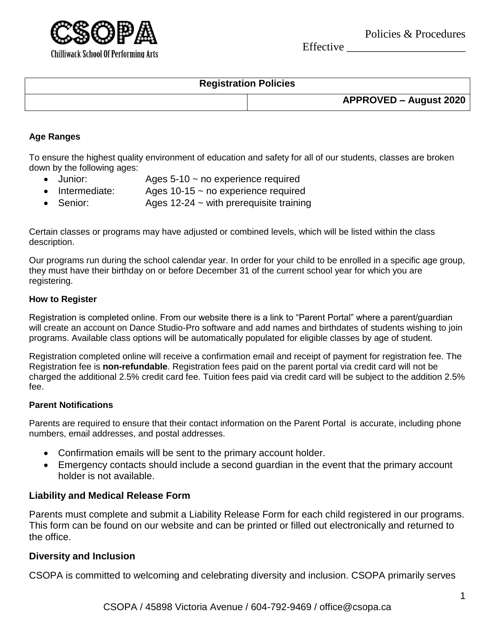

Effective \_\_\_\_\_\_\_\_\_\_\_\_\_\_\_\_\_\_\_\_\_



## **Registration Policies**

| APPROVED - August 2020 |
|------------------------|
|                        |

#### **Age Ranges**

To ensure the highest quality environment of education and safety for all of our students, classes are broken down by the following ages:

- Junior: Ages 5-10 ~ no experience required
- $\bullet$  Intermediate: Ages 10-15  $\sim$  no experience required
- Senior: Ages 12-24 ~ with prerequisite training

Certain classes or programs may have adjusted or combined levels, which will be listed within the class description.

Our programs run during the school calendar year. In order for your child to be enrolled in a specific age group, they must have their birthday on or before December 31 of the current school year for which you are registering.

#### **How to Register**

Registration is completed online. From our website there is a link to "Parent Portal" where a parent/guardian will create an account on Dance Studio-Pro software and add names and birthdates of students wishing to join programs. Available class options will be automatically populated for eligible classes by age of student.

Registration completed online will receive a confirmation email and receipt of payment for registration fee. The Registration fee is **non-refundable**. Registration fees paid on the parent portal via credit card will not be charged the additional 2.5% credit card fee. Tuition fees paid via credit card will be subject to the addition 2.5% fee.

### **Parent Notifications**

Parents are required to ensure that their contact information on the Parent Portal is accurate, including phone numbers, email addresses, and postal addresses.

- Confirmation emails will be sent to the primary account holder.
- Emergency contacts should include a second guardian in the event that the primary account holder is not available.

### **Liability and Medical Release Form**

Parents must complete and submit a Liability Release Form for each child registered in our programs. This form can be found on our website and can be printed or filled out electronically and returned to the office.

#### **Diversity and Inclusion**

CSOPA is committed to welcoming and celebrating diversity and inclusion. CSOPA primarily serves